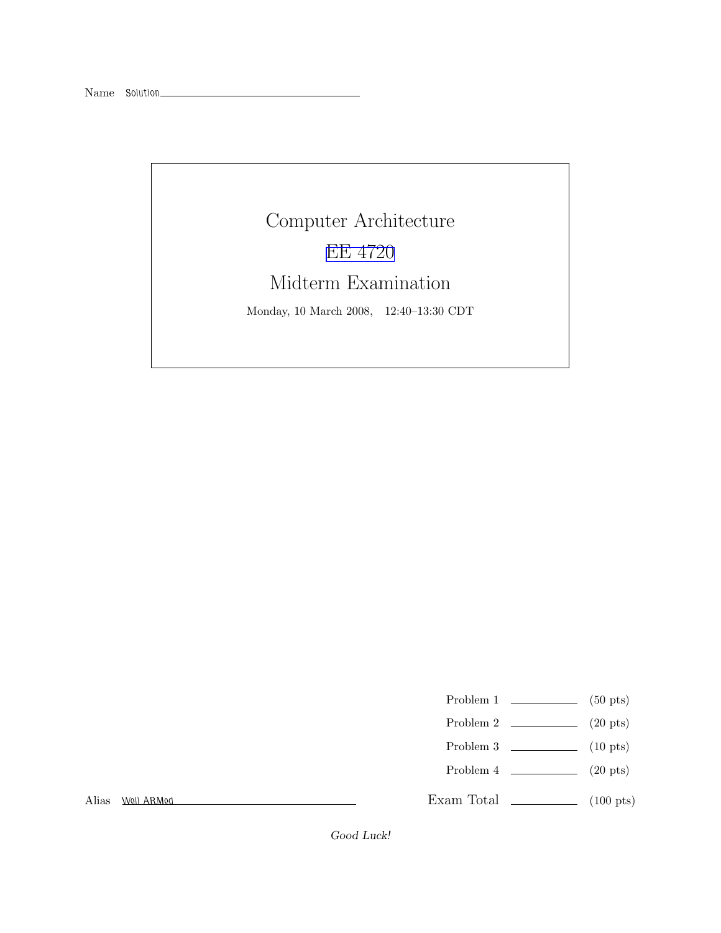## Computer Architecture [EE 4720](http://www.ece.lsu.edu/ee4720/) Midterm Examination Monday, 10 March 2008, 12:40–13:30 CDT

- Problem 1  $\qquad \qquad$  (50 pts)
- Problem 2  $\qquad \qquad (20 \text{ pts})$
- Problem 3  $\qquad \qquad$  (10 pts)
- Problem 4  $\qquad \qquad (20 \text{ pts})$

Exam Total \_\_\_\_\_\_\_\_\_\_\_\_\_\_ (100 pts)

Alias Well ARMed

Good Luck!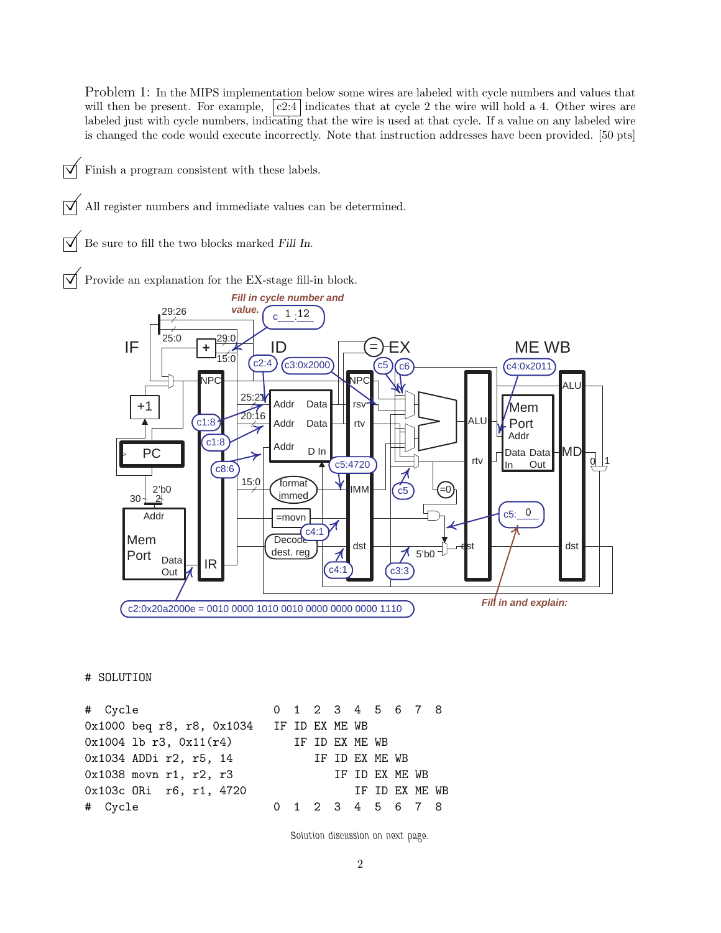Problem 1: In the MIPS implementation below some wires are labeled with cycle numbers and values that will then be present. For example,  $|c2:4|$  indicates that at cycle 2 the wire will hold a 4. Other wires are labeled just with cycle numbers, indicating that the wire is used at that cycle. If a value on any labeled wire is changed the code would execute incorrectly. Note that instruction addresses have been provided. [50 pts]

- $\triangledown$  Finish a program consistent with these labels.
	- All register numbers and immediate values can be determined.
- Be sure to fill the two blocks marked Fill In.

Provide an explanation for the EX-stage fill-in block.



## # SOLUTION

# Cycle 0 1 2 3 4 5 6 7 8 0x1000 beq r8, r8, 0x1034 IF ID EX ME WB 0x1004 lb r3, 0x11(r4) IF ID EX ME WB 0x1034 ADDi r2, r5, 14 IF ID EX ME WB 0x1038 movn r1, r2, r3 IF ID EX ME WB 0x103c ORi r6, r1, 4720 IF ID EX ME WB # Cycle 0 1 2 3 4 5 6 7 8

Solution discussion on next page.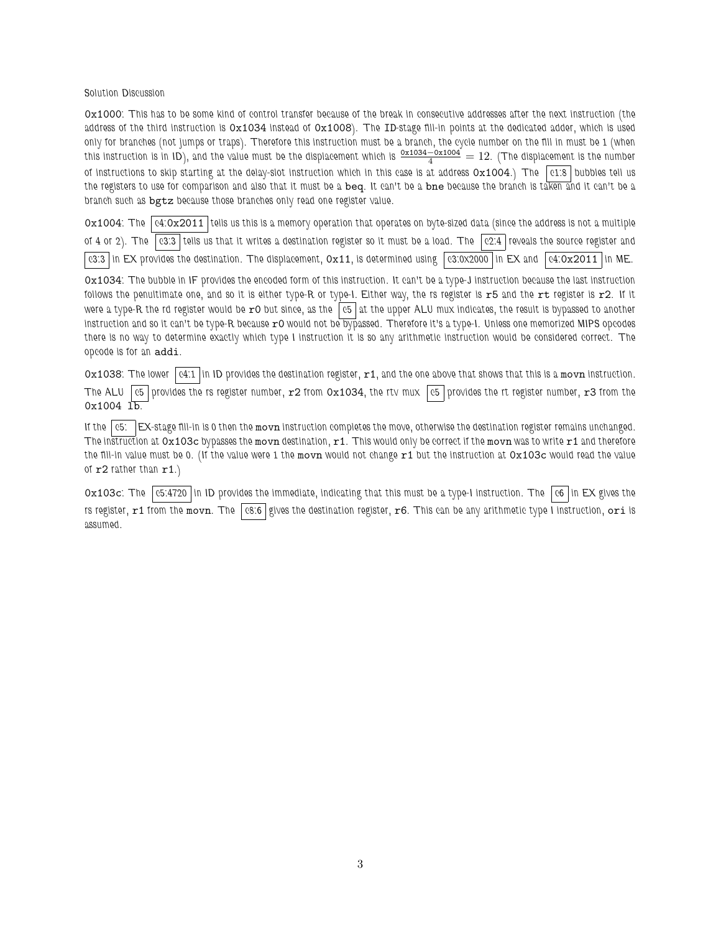## Solution Discussion

0x1000: This has to be some kind of control transfer because of the break in consecutive addresses after the next instruction (the address of the third instruction is 0x1034 instead of 0x1008). The ID-stage fill-in points at the dedicated adder, which is used only for branches (not jumps or traps). Therefore this instruction must be a branch, the cycle number on the fill in must be 1 (when this instruction is in ID), and the value must be the displacement which is  $\frac{0x1034-0x1004}{4}=12$ . (The displacement is the number of instructions to skip starting at the delay-slot instruction which in this case is at address  $0x1004$ .) The  $|01.8|$  bubbles tell us the registers to use for comparison and also that it must be a beq. It can't be a bne because the branch is taken and it can't be a branch such as bgtz because those branches only read one register value.

 $0x1004$ : The  $\alpha$ -0x2011 tells us this is a memory operation that operates on byte-sized data (since the address is not a multiple of 4 or 2). The c3:3 tells us that it writes a destination register so it must be a load. The c2:4 reveals the source register and  $\vert$  c3:3  $\vert$  in EX provides the destination. The displacement,  $0x11$ , is determined using  $\vert$  c3:0x2000  $\vert$  in EX and  $\vert$  c4:0x2011  $\vert$  in ME.

0x1034: The bubble in IF provides the encoded form of this instruction. It can't be a type-J instruction because the last instruction follows the penultimate one, and so it is either type-R or type-I. Either way, the rs register is  $r5$  and the  $rt$  register is  $r2$ . If it were a type-R the rd register would be  $r0$  but since, as the  $|c5|$  at the upper ALU mux indicates, the result is bypassed to another instruction and so it can't be type-R because r0 would not be bypassed. Therefore it's a type-I. Unless one memorized MIPS opcodes there is no way to determine exactly which type I instruction it is so any arithmetic instruction would be considered correct. The opcode is for an addi.

 $Ox1038$ : The lower  $|04:1|$  in ID provides the destination register,  $r1$ , and the one above that shows that this is a movn instruction. The ALU  $\left|$  c5  $\right|$  provides the rs register number,  $r2$  from 0x1034, the rtv mux  $\left|$  c5  $\right|$  provides the rt register number,  $r3$  from the  $0x1004$   $1b$ .

If the  $\vert$  c5:  $\vert$  EX-stage fill-in is 0 then the movn instruction completes the move, otherwise the destination register remains unchanged. The instruction at  $0x103c$  bypasses the movn destination,  $r1$ . This would only be correct if the movn was to write  $r1$  and therefore the fill-in value must be 0. (If the value were 1 the movn would not change  $r1$  but the instruction at  $0x103c$  would read the value of  $r2$  rather than  $r1.$ 

0x103c: The  $|c5.4720|$  in ID provides the immediate, indicating that this must be a type-I instruction. The  $|c6|$  in EX gives the rs register,  $r1$  from the movn. The  $|cs.6|$  gives the destination register,  $r6$ . This can be any arithmetic type I instruction, ori is assumed.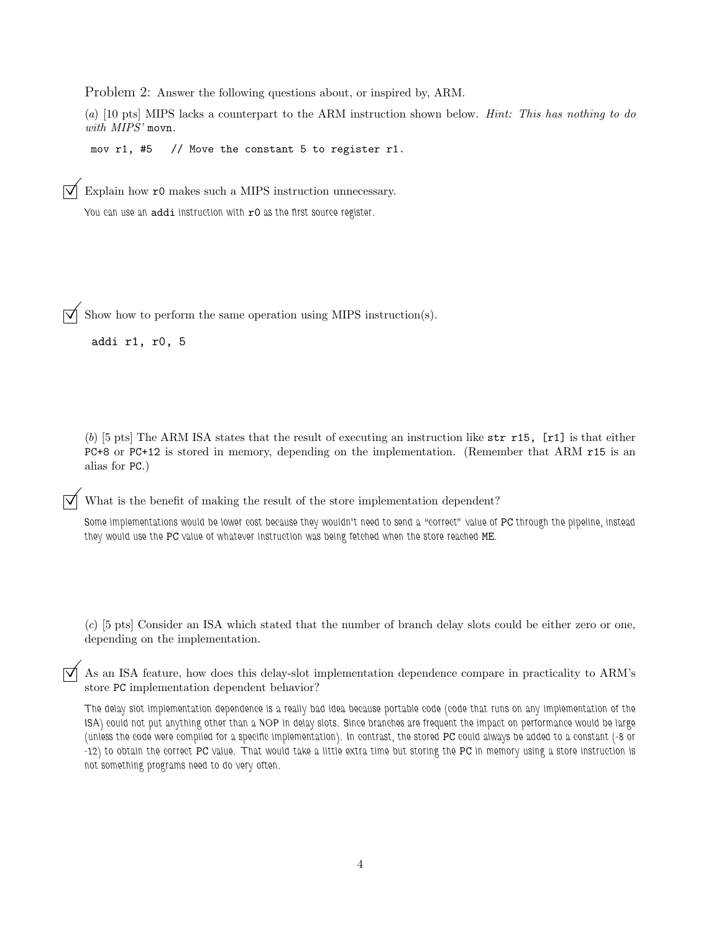Problem 2: Answer the following questions about, or inspired by, ARM.

(a) [10 pts] MIPS lacks a counterpart to the ARM instruction shown below. Hint: This has nothing to do with MIPS' movn.

mov r1, #5 // Move the constant 5 to register r1.

Explain how r0 makes such a MIPS instruction unnecessary.

You can use an addi instruction with  $r0$  as the first source register.

 $\overrightarrow{\mathcal{A}}$  Show how to perform the same operation using MIPS instruction(s).

addi r1, r0, 5

(b) [5 pts] The ARM ISA states that the result of executing an instruction like  $str$  r15, [r1] is that either PC+8 or PC+12 is stored in memory, depending on the implementation. (Remember that ARM r15 is an alias for PC.)

What is the benefit of making the result of the store implementation dependent?

Some implementations would be lower cost because they wouldn't need to send a "correct" value of PC through the pipeline, instead they would use the PC value of whatever instruction was being fetched when the store reached ME.

(c) [5 pts] Consider an ISA which stated that the number of branch delay slots could be either zero or one, depending on the implementation.

 $\vec{\triangledown}$  As an ISA feature, how does this delay-slot implementation dependence compare in practicality to ARM's store PC implementation dependent behavior?

The delay slot implementation dependence is a really bad idea because portable code (code that runs on any implementation of the ISA) could not put anything other than a NOP in delay slots. Since branches are frequent the impact on performance would be large (unless the code were compiled for a specific implementation). In contrast, the stored PC could always be added to a constant (-8 or -12) to obtain the correct PC value. That would take a little extra time but storing the PC in memory using a store instruction is not something programs need to do very often.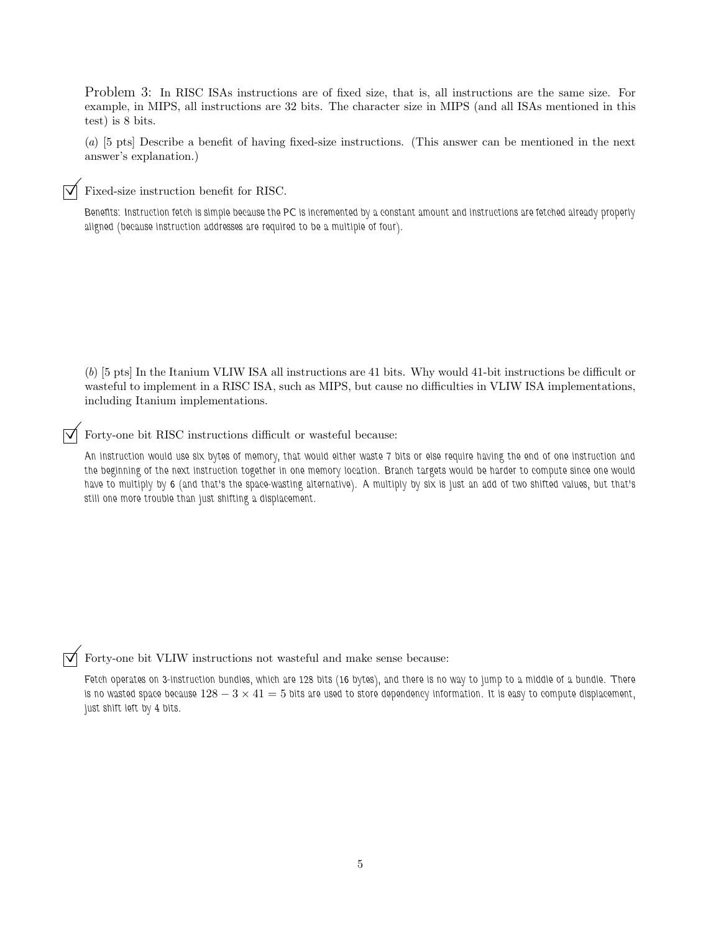Problem 3: In RISC ISAs instructions are of fixed size, that is, all instructions are the same size. For example, in MIPS, all instructions are 32 bits. The character size in MIPS (and all ISAs mentioned in this test) is 8 bits.

(a) [5 pts] Describe a benefit of having fixed-size instructions. (This answer can be mentioned in the next answer's explanation.)

Fixed-size instruction benefit for RISC.

Benefits: Instruction fetch is simple because the PC is incremented by a constant amount and instructions are fetched already properly aligned (because instruction addresses are required to be a multiple of four).

(b) [5 pts] In the Itanium VLIW ISA all instructions are 41 bits. Why would 41-bit instructions be difficult or wasteful to implement in a RISC ISA, such as MIPS, but cause no difficulties in VLIW ISA implementations, including Itanium implementations.

Forty-one bit RISC instructions difficult or wasteful because:

An instruction would use six bytes of memory, that would either waste 7 bits or else require having the end of one instruction and the beginning of the next instruction together in one memory location. Branch targets would be harder to compute since one would have to multiply by 6 (and that's the space-wasting alternative). A multiply by six is just an add of two shifted values, but that's still one more trouble than just shifting a displacement.

 $\overrightarrow{\mathcal{A}}$  Forty-one bit VLIW instructions not wasteful and make sense because:

Fetch operates on 3-instruction bundles, which are 128 bits (16 bytes), and there is no way to jump to a middle of a bundle. There is no wasted space because  $128-3\times41=5$  bits are used to store dependency information. It is easy to compute displacement, just shift left by 4 bits.